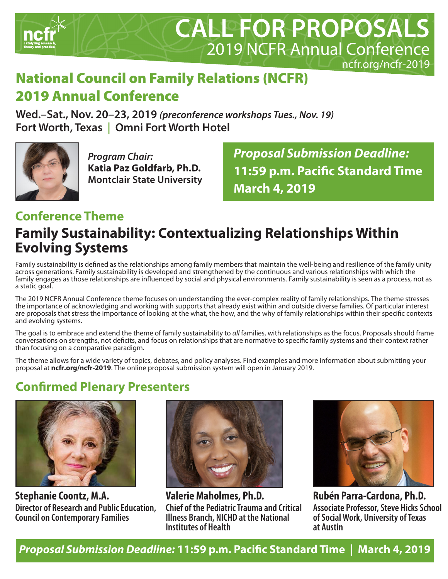

# National Council on Family Relations (NCFR) 2019 Annual Conference

**Wed.–Sat., Nov. 20–23, 2019** *(preconference workshops Tues., Nov. 19)* **Fort Worth, Texas | Omni Fort Worth Hotel**



*Program Chair:* **Katia Paz Goldfarb, Ph.D. Montclair State University** *Proposal Submission Deadline:* **11:59 p.m. Pacific Standard Time March 4, 2019**

### **Conference Theme**

### **Family Sustainability: Contextualizing Relationships Within Evolving Systems**

Family sustainability is defined as the relationships among family members that maintain the well-being and resilience of the family unity across generations. Family sustainability is developed and strengthened by the continuous and various relationships with which the family engages as those relationships are influenced by social and physical environments. Family sustainability is seen as a process, not as a static goal.

The 2019 NCFR Annual Conference theme focuses on understanding the ever-complex reality of family relationships. The theme stresses the importance of acknowledging and working with supports that already exist within and outside diverse families. Of particular interest are proposals that stress the importance of looking at the what, the how, and the why of family relationships within their specific contexts and evolving systems.

The goal is to embrace and extend the theme of family sustainability to *all* families, with relationships as the focus. Proposals should frame conversations on strengths, not deficits, and focus on relationships that are normative to specific family systems and their context rather than focusing on a comparative paradigm.

The theme allows for a wide variety of topics, debates, and policy analyses. Find examples and more information about submitting your proposal at **ncfr.org/ncfr-2019**. The online proposal submission system will open in January 2019.

### **Confirmed Plenary Presenters**



**Stephanie Coontz, M.A. Director of Research and Public Education, Council on Contemporary Families**



**Valerie Maholmes, Ph.D. Chief of the Pediatric Trauma and Critical Illness Branch, NICHD at the National Institutes of Health**



**Rubén Parra-Cardona, Ph.D. Associate Professor, Steve Hicks School of Social Work, University of Texas at Austin**

*Proposal Submission Deadline:* **11:59 p.m. Pacific Standard Time | March 4, 2019**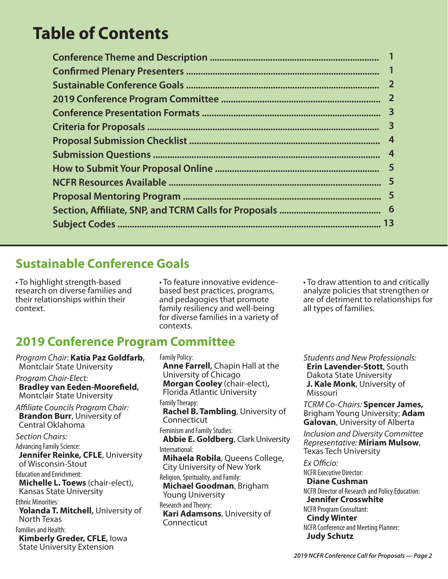# **Table of Contents**

| $\mathbf{2}$            |
|-------------------------|
| $\overline{\mathbf{2}}$ |
|                         |
|                         |
|                         |
|                         |
|                         |
|                         |
|                         |
|                         |
|                         |
|                         |

### **Sustainable Conference Goals**

• To highlight strength-based research on diverse families and their relationships within their context.

### **2019 Conference Program Committee**

*Program Chair:* **Katia Paz Goldfarb,** Montclair State University *Program Chair-Elect:*  **Bradley van Eeden-Moorefield,**  Montclair State University *Affiliate Councils Program Chair:* **Brandon Burr**, University of Central Oklahoma *Section Chairs:* Advancing Family Science: **Jennifer Reinke, CFLE, University** of Wisconsin-Stout Education and Enrichment: **Michelle L. Toews** (chair-elect)**,** Kansas State University Ethnic Minorities: **Yolanda T. Mitchell,** University of North Texas Families and Health: **Kimberly Greder, CFLE,** Iowa State University Extension

• To feature innovative evidencebased best practices, programs, and pedagogies that promote family resiliency and well-being for diverse families in a variety of contexts.

• To draw attention to and critically analyze policies that strengthen or are of detriment to relationships for all types of families.

Family Policy: **Anne Farrell,** Chapin Hall at the University of Chicago **Morgan Cooley** (chair-elect)**,** Florida Atlantic University Family Therapy: **Rachel B. Tambling**, University of Connecticut Feminism and Family Studies: **Abbie E. Goldberg**, Clark University International: **Mihaela Robila**, Queens College, City University of New York Religion, Spirituality, and Family: **Michael Goodman**, Brigham Young University Research and Theory: **Kari Adamsons**, University of Connecticut

*Students and New Professionals:* **Erin Lavender-Stott**, South Dakota State University **J. Kale Monk**, University of Missouri

*TCRM Co-Chairs:* **Spencer James,**  Brigham Young University; **Adam Galovan**, University of Alberta

*Inclusion and Diversity Committee Representative:* **Miriam Mulsow**, Texas Tech University

*Ex Officio:* NCFR Executive Director: **Diane Cushman** NCFR Director of Research and Policy Education: **Jennifer Crosswhite**  NCFR Program Consultant: **Cindy Winter** NCFR Conference and Meeting Planner:

*2019 NCFR Conference Call for Proposals — Page 2*

**Judy Schutz**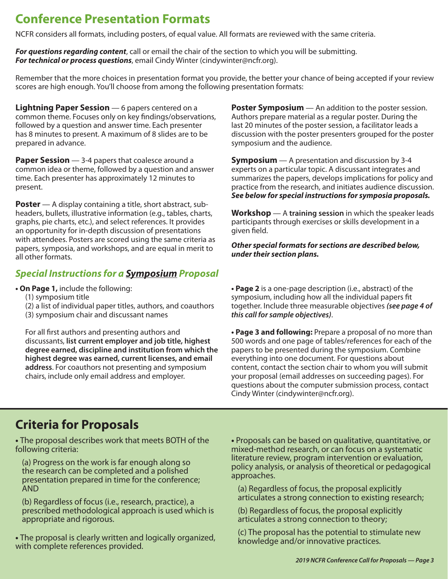### **Conference Presentation Formats**

NCFR considers all formats, including posters, of equal value. All formats are reviewed with the same criteria.

*For questions regarding content*, call or email the chair of the section to which you will be submitting. *For technical or process questions*, email Cindy Winter (cindywinter@ncfr.org).

Remember that the more choices in presentation format you provide, the better your chance of being accepted if your review scores are high enough. You'll choose from among the following presentation formats:

**Lightning Paper Session** — 6 papers centered on a common theme. Focuses only on key findings/observations, followed by a question and answer time. Each presenter has 8 minutes to present. A maximum of 8 slides are to be prepared in advance.

**Paper Session** — 3-4 papers that coalesce around a common idea or theme, followed by a question and answer time. Each presenter has approximately 12 minutes to present.

**Poster** — A display containing a title, short abstract, subheaders, bullets, illustrative information (e.g., tables, charts, graphs, pie charts, etc.), and select references. It provides an opportunity for in-depth discussion of presentations with attendees. Posters are scored using the same criteria as papers, symposia, and workshops, and are equal in merit to all other formats.

#### *Special Instructions for a Symposium Proposal*

- **On Page 1,** include the following:
	- (1) symposium title
	- (2) a list of individual paper titles, authors, and coauthors
	- (3) symposium chair and discussant names

For all first authors and presenting authors and discussants, **list current employer and job title, highest degree earned, discipline and institution from which the highest degree was earned, current licenses, and email address**. For coauthors not presenting and symposium chairs, include only email address and employer.

**Poster Symposium** — An addition to the poster session. Authors prepare material as a regular poster. During the last 20 minutes of the poster session, a facilitator leads a discussion with the poster presenters grouped for the poster symposium and the audience.

**Symposium** — A presentation and discussion by 3-4 experts on a particular topic. A discussant integrates and summarizes the papers, develops implications for policy and practice from the research, and initiates audience discussion. *See below for special instructions for symposia proposals.*

**Workshop** — A **training session** in which the speaker leads participants through exercises or skills development in a given field.

*Other special formats for sections are described below, under their section plans.*

**• Page 2** is a one-page description (i.e., abstract) of the symposium, including how all the individual papers fit together. Include three measurable objectives *(see page 4 of this call for sample objectives)*.

**• Page 3 and following:** Prepare a proposal of no more than 500 words and one page of tables/references for each of the papers to be presented during the symposium. Combine everything into one document. For questions about content, contact the section chair to whom you will submit your proposal (email addresses on succeeding pages). For questions about the computer submission process, contact Cindy Winter (cindywinter@ncfr.org).

### **Criteria for Proposals**

**•** The proposal describes work that meets BOTH of the following criteria:

(a) Progress on the work is far enough along so the research can be completed and a polished presentation prepared in time for the conference; AND

(b) Regardless of focus (i.e., research, practice), a prescribed methodological approach is used which is appropriate and rigorous.

**•** The proposal is clearly written and logically organized, with complete references provided.

**•** Proposals can be based on qualitative, quantitative, or mixed-method research, or can focus on a systematic literature review, program intervention or evaluation, policy analysis, or analysis of theoretical or pedagogical approaches.

(a) Regardless of focus, the proposal explicitly articulates a strong connection to existing research;

(b) Regardless of focus, the proposal explicitly articulates a strong connection to theory;

(c) The proposal has the potential to stimulate new knowledge and/or innovative practices.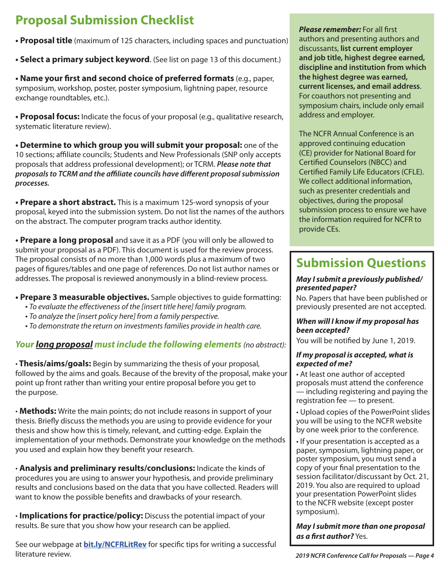# **Proposal Submission Checklist** *Please remember:* For all first

**• Proposal title** (maximum of 125 characters, including spaces and punctuation)

**• Select a primary subject keyword**. (See list on page 13 of this document.)

**• Name your first and second choice of preferred formats** (e.g., paper, symposium, workshop, poster, poster symposium, lightning paper, resource exchange roundtables, etc.).

**• Proposal focus:** Indicate the focus of your proposal (e.g., qualitative research, systematic literature review).

**• Determine to which group you will submit your proposal:** one of the 10 sections; affiliate councils; Students and New Professionals (SNP only accepts proposals that address professional development); or TCRM. *Please note that proposals to TCRM and the affiliate councils have different proposal submission processes.*

**• Prepare a short abstract.** This is a maximum 125-word synopsis of your proposal, keyed into the submission system. Do not list the names of the authors on the abstract. The computer program tracks author identity.

**• Prepare a long proposal** and save it as a PDF (you will only be allowed to submit your proposal as a PDF). This document is used for the review process. The proposal consists of no more than 1,000 words plus a maximum of two pages of figures/tables and one page of references. Do not list author names or addresses. The proposal is reviewed anonymously in a blind-review process.

#### **• Prepare 3 measurable objectives.** Sample objectives to guide formatting:

- *To evaluate the effectiveness of the [insert title here] family program.*
- *To analyze the [insert policy here] from a family perspective.*
- *To demonstrate the return on investments families provide in health care.*

#### *Your long proposal must include the following elements (no abstract):*

**· Thesis/aims/goals:** Begin by summarizing the thesis of your proposal, followed by the aims and goals. Because of the brevity of the proposal, make your point up front rather than writing your entire proposal before you get to the purpose.

**· Methods:** Write the main points; do not include reasons in support of your thesis. Briefly discuss the methods you are using to provide evidence for your thesis and show how this is timely, relevant, and cutting-edge. Explain the implementation of your methods. Demonstrate your knowledge on the methods you used and explain how they benefit your research.

**· Analysis and preliminary results/conclusions:** Indicate the kinds of procedures you are using to answer your hypothesis, and provide preliminary results and conclusions based on the data that you have collected. Readers will want to know the possible benefits and drawbacks of your research.

**· Implications for practice/policy:** Discuss the potential impact of your results. Be sure that you show how your research can be applied.

See our webpage at **bit.ly/NCFRLitRev** for specific tips for writing a successful literature review. *2019 NCFR Conference Call for Proposals — Page 4*

authors and presenting authors and discussants, **list current employer and job title, highest degree earned, discipline and institution from which the highest degree was earned, current licenses, and email address**. For coauthors not presenting and symposium chairs, include only email address and employer.

The NCFR Annual Conference is an approved continuing education (CE) provider for National Board for Certified Counselors (NBCC) and Certified Family Life Educators (CFLE). We collect additional information, such as presenter credentials and objectives, during the proposal submission process to ensure we have the information required for NCFR to provide CEs.

## **Submission Questions**

#### *May I submit a previously published/ presented paper?*

No. Papers that have been published or previously presented are not accepted.

#### *When will I know if my proposal has been accepted?*

You will be notified by June 1, 2019.

#### *If my proposal is accepted, what is expected of me?*

• At least one author of accepted proposals must attend the conference — including registering and paying the registration fee — to present.

• Upload copies of the PowerPoint slides you will be using to the NCFR website by one week prior to the conference.

• If your presentation is accepted as a paper, symposium, lightning paper, or poster symposium, you must send a copy of your final presentation to the session facilitator/discussant by Oct. 21, 2019. You also are required to upload your presentation PowerPoint slides to the NCFR website (except poster symposium).

*May I submit more than one proposal as a first author?* Yes.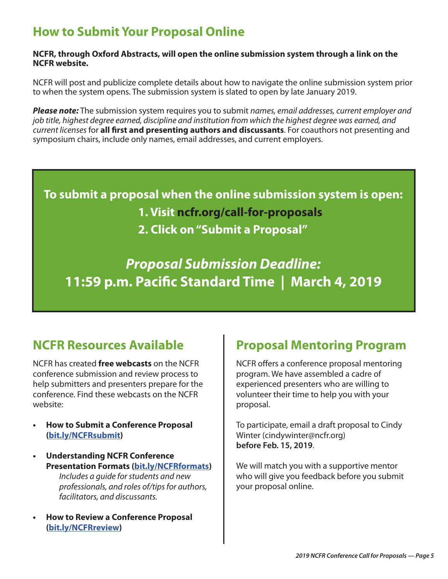### **How to Submit Your Proposal Online**

#### **NCFR, through Oxford Abstracts, will open the online submission system through a link on the NCFR website.**

NCFR will post and publicize complete details about how to navigate the online submission system prior to when the system opens. The submission system is slated to open by late January 2019.

*Please note:* The submission system requires you to submit *names, email addresses, current employer and job title, highest degree earned, discipline and institution from which the highest degree was earned, and current licenses* for **all first and presenting authors and discussants**. For coauthors not presenting and symposium chairs, include only names, email addresses, and current employers.

**To submit a proposal when the online submission system is open: 1. Visit ncfr.org/call-for-proposals 2. Click on "Submit a Proposal"**

*Proposal Submission Deadline:* **11:59 p.m. Pacific Standard Time | March 4, 2019**

NCFR has created **free webcasts** on the NCFR conference submission and review process to help submitters and presenters prepare for the conference. Find these webcasts on the NCFR website:

- **• How to Submit a Conference Proposal (bit.ly/NCFRsubmit)**
- **• Understanding NCFR Conference Presentation Formats (bit.ly/NCFRformats)** *Includes a guide for students and new professionals, and roles of/tips for authors, facilitators, and discussants.*
- **• How to Review a Conference Proposal (bit.ly/NCFRreview)**

### **NCFR Resources Available Comparison Proposal Mentoring Program**

NCFR offers a conference proposal mentoring program. We have assembled a cadre of experienced presenters who are willing to volunteer their time to help you with your proposal.

To participate, email a draft proposal to Cindy Winter (cindywinter@ncfr.org) **before Feb. 15, 2019**.

We will match you with a supportive mentor who will give you feedback before you submit your proposal online.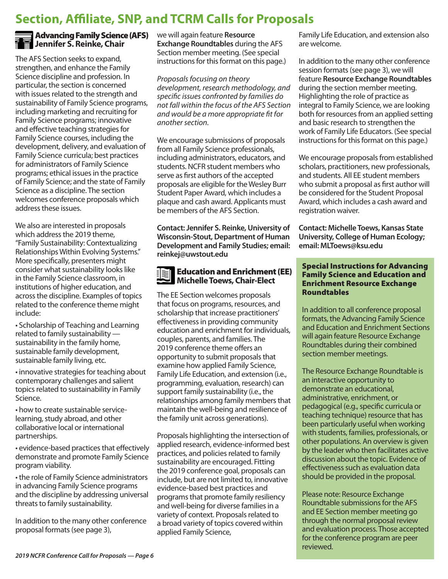### **Section, Affiliate, SNP, and TCRM Calls for Proposals**



#### Advancing Family Science (AFS) **M** Jennifer S. Reinke, Chair

The AFS Section seeks to expand, strengthen, and enhance the Family Science discipline and profession. In particular, the section is concerned with issues related to the strength and sustainability of Family Science programs, including marketing and recruiting for Family Science programs; innovative and effective teaching strategies for Family Science courses, including the development, delivery, and evaluation of Family Science curricula; best practices for administrators of Family Science programs; ethical issues in the practice of Family Science; and the state of Family Science as a discipline. The section welcomes conference proposals which address these issues.

We also are interested in proposals which address the 2019 theme, "Family Sustainability: Contextualizing Relationships Within Evolving Systems." More specifically, presenters might consider what sustainability looks like in the Family Science classroom, in institutions of higher education, and across the discipline. Examples of topics related to the conference theme might include:

• Scholarship of Teaching and Learning related to family sustainability sustainability in the family home, sustainable family development, sustainable family living, etc.

• innovative strategies for teaching about contemporary challenges and salient topics related to sustainability in Family Science.

• how to create sustainable servicelearning, study abroad, and other collaborative local or international partnerships.

• evidence-based practices that effectively demonstrate and promote Family Science program viability.

• the role of Family Science administrators in advancing Family Science programs and the discipline by addressing universal threats to family sustainability.

In addition to the many other conference proposal formats (see page 3),

we will again feature **Resource Exchange Roundtables** during the AFS Section member meeting. (See special instructions for this format on this page.)

*Proposals focusing on theory development, research methodology, and specific issues confronted by families do not fall within the focus of the AFS Section and would be a more appropriate fit for another section.*

We encourage submissions of proposals from all Family Science professionals, including administrators, educators, and students. NCFR student members who serve as first authors of the accepted proposals are eligible for the Wesley Burr Student Paper Award, which includes a plaque and cash award. Applicants must be members of the AFS Section.

**Contact: Jennifer S. Reinke, University of Wisconsin-Stout, Department of Human Development and Family Studies; email: reinkej@uwstout.edu**

#### $\mathbb{R}$  Education and Enrichment (EE) **Michelle Toews, Chair-Elect**

The EE Section welcomes proposals that focus on programs, resources, and scholarship that increase practitioners' effectiveness in providing community education and enrichment for individuals, couples, parents, and families. The 2019 conference theme offers an opportunity to submit proposals that examine how applied Family Science, Family Life Education, and extension (i.e., programming, evaluation, research) can support family sustainability (i.e., the relationships among family members that maintain the well-being and resilience of the family unit across generations).

Proposals highlighting the intersection of applied research, evidence-informed best practices, and policies related to family sustainability are encouraged. Fitting the 2019 conference goal, proposals can include, but are not limited to, innovative evidence-based best practices and programs that promote family resiliency and well-being for diverse families in a variety of context. Proposals related to a broad variety of topics covered within applied Family Science,

Family Life Education, and extension also are welcome.

In addition to the many other conference session formats (see page 3), we will feature **Resource Exchange Roundtables** during the section member meeting. Highlighting the role of practice as integral to Family Science, we are looking both for resources from an applied setting and basic research to strengthen the work of Family Life Educators. (See special instructions for this format on this page.)

We encourage proposals from established scholars, practitioners, new professionals, and students. All EE student members who submit a proposal as first author will be considered for the Student Proposal Award, which includes a cash award and registration waiver.

**Contact: Michelle Toews, Kansas State University, College of Human Ecology; email: MLToews@ksu.edu**

#### Special Instructions for Advancing Family Science and Education and Enrichment Resource Exchange Roundtables

In addition to all conference proposal formats, the Advancing Family Science and Education and Enrichment Sections will again feature Resource Exchange Roundtables during their combined section member meetings.

The Resource Exchange Roundtable is an interactive opportunity to demonstrate an educational, administrative, enrichment, or pedagogical (e.g., specific curricula or teaching technique) resource that has been particularly useful when working with students, families, professionals, or other populations. An overview is given by the leader who then facilitates active discussion about the topic. Evidence of effectiveness such as evaluation data should be provided in the proposal.

Please note: Resource Exchange Roundtable submissions for the AFS and EE Section member meeting go through the normal proposal review and evaluation process. Those accepted for the conference program are peer reviewed.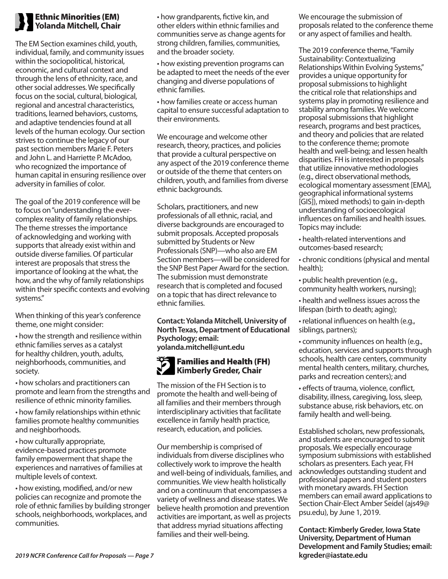#### Ethnic Minorities (EM) **Yolanda Mitchell, Chair**

The EM Section examines child, youth, individual, family, and community issues within the sociopolitical, historical, economic, and cultural context and through the lens of ethnicity, race, and other social addresses. We specifically focus on the social, cultural, biological, regional and ancestral characteristics, traditions, learned behaviors, customs, and adaptive tendencies found at all levels of the human ecology. Our section strives to continue the legacy of our past section members Marie F. Peters and John L. and Harriette P. McAdoo, who recognized the importance of human capital in ensuring resilience over adversity in families of color.

The goal of the 2019 conference will be to focus on "understanding the evercomplex reality of family relationships. The theme stresses the importance of acknowledging and working with supports that already exist within and outside diverse families. Of particular interest are proposals that stress the importance of looking at the what, the how, and the why of family relationships within their specific contexts and evolving systems."

When thinking of this year's conference theme, one might consider:

• how the strength and resilience within ethnic families serves as a catalyst for healthy children, youth, adults, neighborhoods, communities, and society.

• how scholars and practitioners can promote and learn from the strengths and resilience of ethnic minority families.

• how family relationships within ethnic families promote healthy communities and neighborhoods.

• how culturally appropriate, evidence-based practices promote family empowerment that shape the experiences and narratives of families at multiple levels of context.

• how existing, modified, and/or new policies can recognize and promote the role of ethnic families by building stronger schools, neighborhoods, workplaces, and communities.

• how grandparents, fictive kin, and other elders within ethnic families and communities serve as change agents for strong children, families, communities, and the broader society.

• how existing prevention programs can be adapted to meet the needs of the ever changing and diverse populations of ethnic families.

• how families create or access human capital to ensure successful adaptation to their environments.

We encourage and welcome other research, theory, practices, and policies that provide a cultural perspective on any aspect of the 2019 conference theme or outside of the theme that centers on children, youth, and families from diverse ethnic backgrounds.

Scholars, practitioners, and new professionals of all ethnic, racial, and diverse backgrounds are encouraged to submit proposals. Accepted proposals submitted by Students or New Professionals (SNP)—who also are EM Section members—will be considered for the SNP Best Paper Award for the section. The submission must demonstrate research that is completed and focused on a topic that has direct relevance to ethnic families.

**Contact: Yolanda Mitchell, University of North Texas, Department of Educational Psychology; email: yolanda.mitchell@unt.edu**

#### Families and Health (FH) **Kimberly Greder, Chair**

The mission of the FH Section is to promote the health and well-being of all families and their members through interdisciplinary activities that facilitate excellence in family health practice, research, education, and policies.

Our membership is comprised of individuals from diverse disciplines who collectively work to improve the health and well-being of individuals, families, and communities. We view health holistically and on a continuum that encompasses a variety of wellness and disease states. We believe health promotion and prevention activities are important, as well as projects that address myriad situations affecting families and their well-being.

We encourage the submission of proposals related to the conference theme or any aspect of families and health.

The 2019 conference theme, "Family Sustainability: Contextualizing Relationships Within Evolving Systems," provides a unique opportunity for proposal submissions to highlight the critical role that relationships and systems play in promoting resilience and stability among families. We welcome proposal submissions that highlight research, programs and best practices, and theory and policies that are related to the conference theme; promote health and well-being; and lessen health disparities. FH is interested in proposals that utilize innovative methodologies (e.g., direct observational methods, ecological momentary assessment [EMA], geographical informational systems [GIS]), mixed methods) to gain in-depth understanding of socioecological influences on families and health issues. Topics may include:

• health-related interventions and outcomes-based research;

• chronic conditions (physical and mental health);

• public health prevention (e.g., community health workers, nursing);

• health and wellness issues across the lifespan (birth to death; aging);

• relational influences on health (e.g., siblings, partners);

• community influences on health (e.g., education, services and supports through schools, health care centers, community mental health centers, military, churches, parks and recreation centers); and

• effects of trauma, violence, conflict, disability, illness, caregiving, loss, sleep, substance abuse, risk behaviors, etc. on family health and well-being.

Established scholars, new professionals, and students are encouraged to submit proposals. We especially encourage symposium submissions with established scholars as presenters. Each year, FH acknowledges outstanding student and professional papers and student posters with monetary awards. FH Section members can email award applications to Section Chair-Elect Amber Seidel (ajs49@ psu.edu), by June 1, 2019.

**Contact: Kimberly Greder, Iowa State University, Department of Human Development and Family Studies; email:**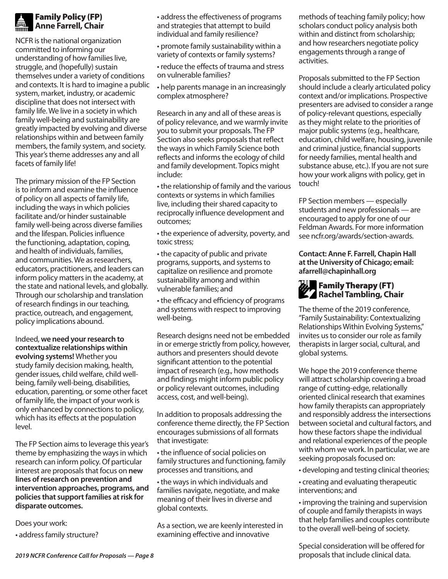#### Family Policy (FP) **Anne Farrell, Chair**

NCFR is the national organization committed to informing our understanding of how families live, struggle, and (hopefully) sustain themselves under a variety of conditions and contexts. It is hard to imagine a public system, market, industry, or academic discipline that does not intersect with family life. We live in a society in which family well-being and sustainability are greatly impacted by evolving and diverse relationships within and between family members, the family system, and society. This year's theme addresses any and all facets of family life!

The primary mission of the FP Section is to inform and examine the influence of policy on all aspects of family life, including the ways in which policies facilitate and/or hinder sustainable family well-being across diverse families and the lifespan. Policies influence the functioning, adaptation, coping, and health of individuals, families, and communities. We as researchers, educators, practitioners, and leaders can inform policy matters in the academy, at the state and national levels, and globally. Through our scholarship and translation of research findings in our teaching, practice, outreach, and engagement, policy implications abound.

Indeed, **we need your research to contextualize relationships within evolving systems!** Whether you study family decision making, health, gender issues, child welfare, child wellbeing, family well-being, disabilities, education, parenting, or some other facet of family life, the impact of your work is only enhanced by connections to policy, which has its effects at the population level.

The FP Section aims to leverage this year's theme by emphasizing the ways in which research can inform policy. Of particular interest are proposals that focus on **new lines of research on prevention and intervention approaches, programs, and policies that support families at risk for disparate outcomes.**

Does your work:

• address family structure?

• address the effectiveness of programs and strategies that attempt to build individual and family resilience?

• promote family sustainability within a variety of contexts or family systems?

• reduce the effects of trauma and stress on vulnerable families?

• help parents manage in an increasingly complex atmosphere?

Research in any and all of these areas is of policy relevance, and we warmly invite you to submit your proposals. The FP Section also seeks proposals that reflect the ways in which Family Science both reflects and informs the ecology of child and family development. Topics might include:

• the relationship of family and the various contexts or systems in which families live, including their shared capacity to reciprocally influence development and outcomes;

• the experience of adversity, poverty, and toxic stress;

• the capacity of public and private programs, supports, and systems to capitalize on resilience and promote sustainability among and within vulnerable families; and

• the efficacy and efficiency of programs and systems with respect to improving well-being.

Research designs need not be embedded in or emerge strictly from policy, however, authors and presenters should devote significant attention to the potential impact of research (e.g., how methods and findings might inform public policy or policy relevant outcomes, including access, cost, and well-being).

In addition to proposals addressing the conference theme directly, the FP Section encourages submissions of all formats that investigate:

• the influence of social policies on family structures and functioning, family processes and transitions, and

• the ways in which individuals and families navigate, negotiate, and make meaning of their lives in diverse and global contexts.

As a section, we are keenly interested in examining effective and innovative

methods of teaching family policy; how scholars conduct policy analysis both within and distinct from scholarship; and how researchers negotiate policy engagements through a range of activities.

Proposals submitted to the FP Section should include a clearly articulated policy context and/or implications. Prospective presenters are advised to consider a range of policy-relevant questions, especially as they might relate to the priorities of major public systems (e.g., healthcare, education, child welfare, housing, juvenile and criminal justice, financial supports for needy families, mental health and substance abuse, etc.). If you are not sure how your work aligns with policy, get in touch!

FP Section members — especially students and new professionals — are encouraged to apply for one of our Feldman Awards. For more information see ncfr.org/awards/section-awards.

#### **Contact: Anne F. Farrell, Chapin Hall at the University of Chicago; email: afarrell@chapinhall.org**

#### $\partial_t$  Family Therapy (FT) **Rachel Tambling, Chair**

The theme of the 2019 conference, "Family Sustainability: Contextualizing Relationships Within Evolving Systems," invites us to consider our role as family therapists in larger social, cultural, and global systems.

We hope the 2019 conference theme will attract scholarship covering a broad range of cutting-edge, relationally oriented clinical research that examines how family therapists can appropriately and responsibly address the intersections between societal and cultural factors, and how these factors shape the individual and relational experiences of the people with whom we work. In particular, we are seeking proposals focused on:

• developing and testing clinical theories;

• creating and evaluating therapeutic interventions; and

• improving the training and supervision of couple and family therapists in ways that help families and couples contribute to the overall well-being of society.

Special consideration will be offered for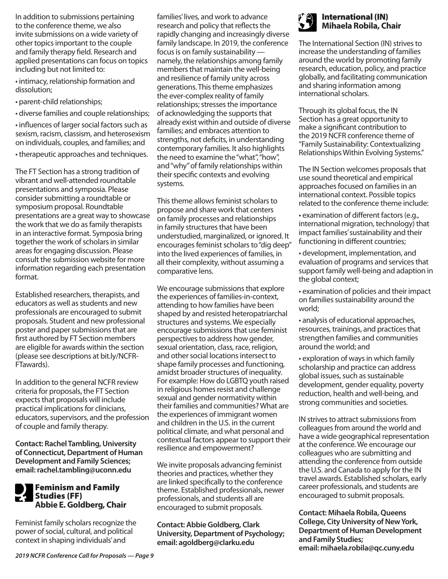In addition to submissions pertaining to the conference theme, we also invite submissions on a wide variety of other topics important to the couple and family therapy field. Research and applied presentations can focus on topics including but not limited to:

• intimacy, relationship formation and dissolution;

- parent-child relationships;
- diverse families and couple relationships;

• influences of larger social factors such as sexism, racism, classism, and heterosexism on individuals, couples, and families; and

• therapeutic approaches and techniques.

The FT Section has a strong tradition of vibrant and well-attended roundtable presentations and symposia. Please consider submitting a roundtable or symposium proposal. Roundtable presentations are a great way to showcase the work that we do as family therapists in an interactive format. Symposia bring together the work of scholars in similar areas for engaging discussion. Please consult the submission website for more information regarding each presentation format.

Established researchers, therapists, and educators as well as students and new professionals are encouraged to submit proposals. Student and new professional poster and paper submissions that are first authored by FT Section members are eligible for awards within the section (please see descriptions at bit.ly/NCFR-FTawards).

In addition to the general NCFR review criteria for proposals, the FT Section expects that proposals will include practical implications for clinicians, educators, supervisors, and the profession of couple and family therapy.

**Contact: Rachel Tambling, University of Connecticut, Department of Human Development and Family Sciences; email: rachel.tambling@uconn.edu**

#### Feminism and Family Studies (FF) **Abbie E. Goldberg, Chair**

Feminist family scholars recognize the power of social, cultural, and political context in shaping individuals' and

families' lives, and work to advance research and policy that reflects the rapidly changing and increasingly diverse family landscape. In 2019, the conference focus is on family sustainability namely, the relationships among family members that maintain the well-being and resilience of family unity across generations. This theme emphasizes the ever-complex reality of family relationships; stresses the importance of acknowledging the supports that already exist within and outside of diverse families; and embraces attention to strengths, not deficits, in understanding contemporary families. It also highlights the need to examine the "what", "how", and "why" of family relationships within their specific contexts and evolving systems.

This theme allows feminist scholars to propose and share work that centers on family processes and relationships in family structures that have been understudied, marginalized, or ignored. It encourages feminist scholars to "dig deep" into the lived experiences of families, in all their complexity, without assuming a comparative lens.

We encourage submissions that explore the experiences of families-in-context, attending to how families have been shaped by and resisted heteropatriarchal structures and systems. We especially encourage submissions that use feminist perspectives to address how gender, sexual orientation, class, race, religion, and other social locations intersect to shape family processes and functioning, amidst broader structures of inequality. For example: How do LGBTQ youth raised in religious homes resist and challenge sexual and gender normativity within their families and communities? What are the experiences of immigrant women and children in the U.S. in the current political climate, and what personal and contextual factors appear to support their resilience and empowerment?

We invite proposals advancing feminist theories and practices, whether they are linked specifically to the conference theme. Established professionals, newer professionals, and students all are encouraged to submit proposals.

**Contact: Abbie Goldberg, Clark University, Department of Psychology; email: agoldberg@clarku.edu**



#### International (IN) **Mihaela Robila, Chair**

The International Section (IN) strives to increase the understanding of families around the world by promoting family research, education, policy, and practice globally, and facilitating communication and sharing information among international scholars.

Through its global focus, the IN Section has a great opportunity to make a significant contribution to the 2019 NCFR conference theme of "Family Sustainability: Contextualizing Relationships Within Evolving Systems."

The IN Section welcomes proposals that use sound theoretical and empirical approaches focused on families in an international context. Possible topics related to the conference theme include:

• examination of different factors (e.g., international migration, technology) that impact families' sustainability and their functioning in different countries;

- development, implementation, and evaluation of programs and services that support family well-being and adaption in the global context;
- examination of policies and their impact on families sustainability around the world;
- analysis of educational approaches, resources, trainings, and practices that strengthen families and communities around the world; and

• exploration of ways in which family scholarship and practice can address global issues, such as sustainable development, gender equality, poverty reduction, health and well-being, and strong communities and societies.

IN strives to attract submissions from colleagues from around the world and have a wide geographical representation at the conference. We encourage our colleagues who are submitting and attending the conference from outside the U.S. and Canada to apply for the IN travel awards. Established scholars, early career professionals, and students are encouraged to submit proposals.

**Contact: Mihaela Robila, Queens College, City University of New York, Department of Human Development and Family Studies; email: mihaela.robila@qc.cuny.edu**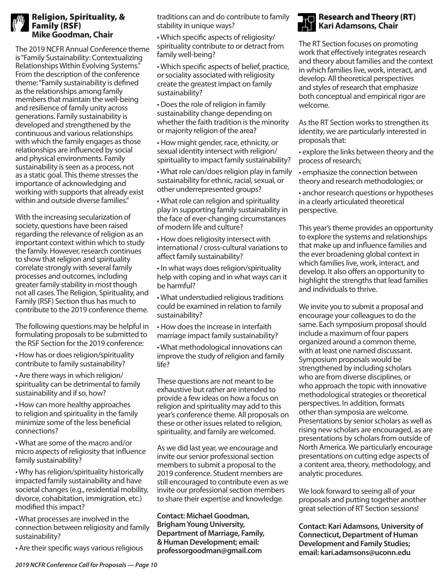#### Religion, Spirituality, & Family (RSF) **Mike Goodman, Chair**

The 2019 NCFR Annual Conference theme is "Family Sustainability: Contextualizing Relationships Within Evolving Systems." From the description of the conference theme: "Family sustainability is defined as the relationships among family members that maintain the well-being and resilience of family unity across generations. Family sustainability is developed and strengthened by the continuous and various relationships with which the family engages as those relationships are influenced by social and physical environments. Family sustainability is seen as a process, not as a static goal. This theme stresses the importance of acknowledging and working with supports that already exist within and outside diverse families."

With the increasing secularization of society, questions have been raised regarding the relevance of religion as an important context within which to study the family. However, research continues to show that religion and spirituality correlate strongly with several family processes and outcomes, including greater family stability in most though not all cases. The Religion, Spirituality, and Family (RSF) Section thus has much to contribute to the 2019 conference theme.

The following questions may be helpful in formulating proposals to be submitted to the RSF Section for the 2019 conference:

• How has or does religion/spirituality contribute to family sustainability?

• Are there ways in which religion/ spirituality can be detrimental to family sustainability and if so, how?

• How can more healthy approaches to religion and spirituality in the family minimize some of the less beneficial connections?

• What are some of the macro and/or micro aspects of religiosity that influence family sustainability?

• Why has religion/spirituality historically impacted family sustainability and have societal changes (e.g., residential mobility, divorce, cohabitation, immigration, etc.) modified this impact?

• What processes are involved in the connection between religiosity and family sustainability?

• Are their specific ways various religious

traditions can and do contribute to family stability in unique ways?

• Which specific aspects of religiosity/ spirituality contribute to or detract from family well-being?

• Which specific aspects of belief, practice, or sociality associated with religiosity create the greatest impact on family sustainability?

• Does the role of religion in family sustainability change depending on whether the faith tradition is the minority or majority religion of the area?

• How might gender, race, ethnicity, or sexual identity intersect with religion/ spirituality to impact family sustainability?

• What role can/does religion play in family sustainability for ethnic, racial, sexual, or other underrepresented groups?

• What role can religion and spirituality play in supporting family sustainability in the face of ever-changing circumstances of modern life and culture?

• How does religiosity intersect with international / cross-cultural variations to affect family sustainability?

• In what ways does religion/spirituality help with coping and in what ways can it be harmful?

• What understudied religious traditions could be examined in relation to family sustainability?

• How does the increase in interfaith marriage impact family sustainability?

• What methodological innovations can improve the study of religion and family life?

These questions are not meant to be exhaustive but rather are intended to provide a few ideas on how a focus on religion and spirituality may add to this year's conference theme. All proposals on these or other issues related to religion, spirituality, and family are welcomed.

As we did last year, we encourage and invite our senior professional section members to submit a proposal to the 2019 conference. Student members are still encouraged to contribute even as we invite our professional section members to share their expertise and knowledge.

**Contact: Michael Goodman, Brigham Young University, Department of Marriage, Family, & Human Development; email: professorgoodman@gmail.com**



The RT Section focuses on promoting work that effectively integrates research and theory about families and the context in which families live, work, interact, and develop. All theoretical perspectives and styles of research that emphasize both conceptual and empirical rigor are welcome.

As the RT Section works to strengthen its identity, we are particularly interested in proposals that:

• explore the links between theory and the process of research;

• emphasize the connection between theory and research methodologies; or

• anchor research questions or hypotheses in a clearly articulated theoretical perspective.

This year's theme provides an opportunity to explore the systems and relationships that make up and influence families and the ever broadening global context in which families live, work, interact, and develop. It also offers an opportunity to highlight the strengths that lead families and individuals to thrive.

We invite you to submit a proposal and encourage your colleagues to do the same. Each symposium proposal should include a maximum of four papers organized around a common theme, with at least one named discussant. Symposium proposals would be strengthened by including scholars who are from diverse disciplines, or who approach the topic with innovative methodological strategies or theoretical perspectives. In addition, formats other than symposia are welcome. Presentations by senior scholars as well as rising new scholars are encouraged, as are presentations by scholars from outside of North America. We particularly encourage presentations on cutting edge aspects of a content area, theory, methodology, and analytic procedures.

We look forward to seeing all of your proposals and putting together another great selection of RT Section sessions!

**Contact: Kari Adamsons, University of Connecticut, Department of Human Development and Family Studies; email: kari.adamsons@uconn.edu**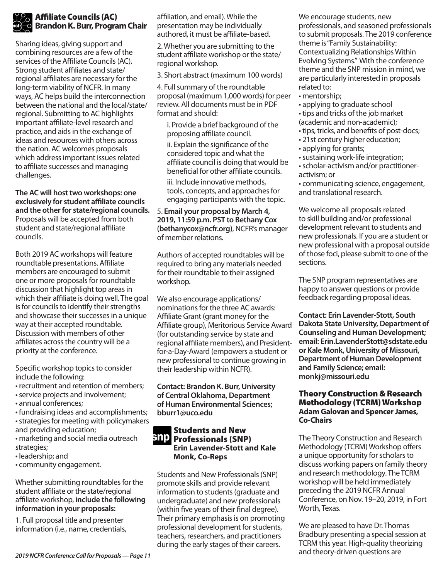#### Affiliate Councils (AC) **Brandon K. Burr, Program Chair**

Sharing ideas, giving support and combining resources are a few of the services of the Affiliate Councils (AC). Strong student affiliates and state/ regional affiliates are necessary for the long-term viability of NCFR. In many ways, AC helps build the interconnection between the national and the local/state/ regional. Submitting to AC highlights important affiliate-level research and practice, and aids in the exchange of ideas and resources with others across the nation. AC welcomes proposals which address important issues related to affiliate successes and managing challenges.

**The AC will host two workshops: one exclusively for student affiliate councils and the other for state/regional councils.**  Proposals will be accepted from both student and state/regional affiliate councils.

Both 2019 AC workshops will feature roundtable presentations. Affiliate members are encouraged to submit one or more proposals for roundtable discussion that highlight top areas in which their affiliate is doing well. The goal is for councils to identify their strengths and showcase their successes in a unique way at their accepted roundtable. Discussion with members of other affiliates across the country will be a priority at the conference.

Specific workshop topics to consider include the following:

- recruitment and retention of members;
- service projects and involvement;
- annual conferences;
- fundraising ideas and accomplishments;
- strategies for meeting with policymakers and providing education;
- marketing and social media outreach
- strategies;
- leadership; and
- community engagement.

#### Whether submitting roundtables for the student affiliate or the state/regional affiliate workshop, **include the following information in your proposals:**

1. Full proposal title and presenter information (i.e., name, credentials,

affiliation, and email). While the presentation may be individually authored, it must be affiliate-based.

2. Whether you are submitting to the student affiliate workshop or the state/ regional workshop.

3. Short abstract (maximum 100 words)

4. Full summary of the roundtable proposal (maximum 1,000 words) for peer review. All documents must be in PDF format and should:

i. Provide a brief background of the proposing affiliate council.

ii. Explain the significance of the considered topic and what the affiliate council is doing that would be beneficial for other affiliate councils.

iii. Include innovative methods, tools, concepts, and approaches for engaging participants with the topic.

#### 5. **Email your proposal by March 4, 2019, 11:59 p.m. PST to Bethany Cox (bethanycox@ncfr.org)**, NCFR's manager of member relations.

Authors of accepted roundtables will be required to bring any materials needed for their roundtable to their assigned workshop.

We also encourage applications/ nominations for the three AC awards: Affiliate Grant (grant money for the Affiliate group), Meritorious Service Award (for outstanding service by state and regional affiliate members), and Presidentfor-a-Day-Award (empowers a student or new professional to continue growing in their leadership within NCFR).

**Contact: Brandon K. Burr, University of Central Oklahoma, Department of Human Environmental Sciences; bburr1@uco.edu**

#### Students and New **BIP** Professionals (SNP) **Erin Lavender-Stott and Kale Monk, Co-Reps**

Students and New Professionals (SNP) promote skills and provide relevant information to students (graduate and undergraduate) and new professionals (within five years of their final degree). Their primary emphasis is on promoting professional development for students, teachers, researchers, and practitioners during the early stages of their careers.

We encourage students, new professionals, and seasoned professionals to submit proposals. The 2019 conference theme is "Family Sustainability: Contextualizing Relationships Within Evolving Systems." With the conference theme and the SNP mission in mind, we are particularly interested in proposals related to:

- mentorship;
- applying to graduate school
- tips and tricks of the job market (academic and non-academic);
- tips, tricks, and benefits of post-docs;
- 21st century higher education;
- applying for grants;
- sustaining work-life integration;
- scholar-activism and/or practitioneractivism; or
- communicating science, engagement, and translational research.

We welcome all proposals related to skill building and/or professional development relevant to students and new professionals. If you are a student or new professional with a proposal outside of those foci, please submit to one of the sections.

The SNP program representatives are happy to answer questions or provide feedback regarding proposal ideas.

**Contact: Erin Lavender-Stott, South Dakota State University, Department of Counseling and Human Development; email: Erin.LavenderStott@sdstate.edu or Kale Monk, University of Missouri, Department of Human Development and Family Science; email: monkj@missouri.edu**

#### Theory Construction & Research Methodology (TCRM) Workshop **Adam Galovan and Spencer James, Co-Chairs**

The Theory Construction and Research Methodology (TCRM) Workshop offers a unique opportunity for scholars to discuss working papers on family theory and research methodology. The TCRM workshop will be held immediately preceding the 2019 NCFR Annual Conference, on Nov. 19–20, 2019, in Fort Worth, Texas.

We are pleased to have Dr. Thomas Bradbury presenting a special session at TCRM this year. High-quality theorizing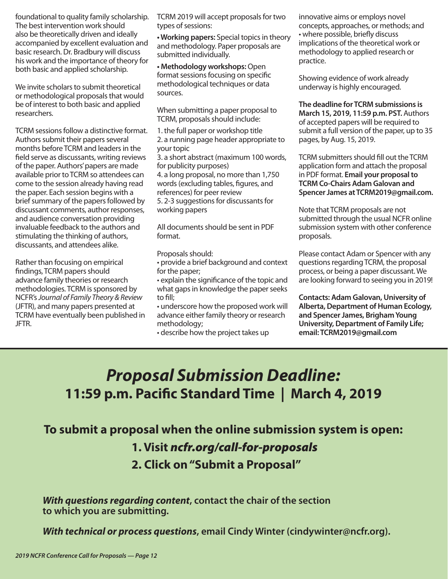foundational to quality family scholarship. The best intervention work should also be theoretically driven and ideally accompanied by excellent evaluation and basic research. Dr. Bradbury will discuss his work and the importance of theory for both basic and applied scholarship.

We invite scholars to submit theoretical or methodological proposals that would be of interest to both basic and applied researchers.

TCRM sessions follow a distinctive format. Authors submit their papers several months before TCRM and leaders in the field serve as discussants, writing reviews of the paper. Authors' papers are made available prior to TCRM so attendees can come to the session already having read the paper. Each session begins with a brief summary of the papers followed by discussant comments, author responses, and audience conversation providing invaluable feedback to the authors and stimulating the thinking of authors, discussants, and attendees alike.

Rather than focusing on empirical findings, TCRM papers should advance family theories or research methodologies. TCRM is sponsored by NCFR's *Journal of Family Theory & Review*  (JFTR), and many papers presented at TCRM have eventually been published in JFTR.

TCRM 2019 will accept proposals for two types of sessions:

**• Working papers:** Special topics in theory and methodology. Paper proposals are submitted individually.

**• Methodology workshops:** Open format sessions focusing on specific methodological techniques or data sources.

When submitting a paper proposal to TCRM, proposals should include:

1. the full paper or workshop title 2. a running page header appropriate to your topic

3. a short abstract (maximum 100 words, for publicity purposes)

4. a long proposal, no more than 1,750 words (excluding tables, figures, and references) for peer review

5. 2-3 suggestions for discussants for working papers

All documents should be sent in PDF format.

Proposals should:

• provide a brief background and context for the paper;

• explain the significance of the topic and what gaps in knowledge the paper seeks to fill;

• underscore how the proposed work will advance either family theory or research methodology;

• describe how the project takes up

innovative aims or employs novel concepts, approaches, or methods; and • where possible, briefly discuss implications of the theoretical work or methodology to applied research or practice.

Showing evidence of work already underway is highly encouraged.

**The deadline for TCRM submissions is March 15, 2019, 11:59 p.m. PST.** Authors of accepted papers will be required to submit a full version of the paper, up to 35 pages, by Aug. 15, 2019.

TCRM submitters should fill out the TCRM application form and attach the proposal in PDF format. **Email your proposal to TCRM Co-Chairs Adam Galovan and Spencer James at TCRM2019@gmail.com.**

Note that TCRM proposals are not submitted through the usual NCFR online submission system with other conference proposals.

Please contact Adam or Spencer with any questions regarding TCRM, the proposal process, or being a paper discussant. We are looking forward to seeing you in 2019!

**Contacts: Adam Galovan, University of Alberta, Department of Human Ecology, and Spencer James, Brigham Young University, Department of Family Life; email: TCRM2019@gmail.com**

# *Proposal Submission Deadline:* **11:59 p.m. Pacific Standard Time | March 4, 2019**

### **To submit a proposal when the online submission system is open:**

### **1. Visit** *ncfr.org/call-for-proposals*

**2. Click on "Submit a Proposal"**

*With questions regarding content***, contact the chair of the section to which you are submitting.**

*With technical or process questions***, email Cindy Winter (cindywinter@ncfr.org).**